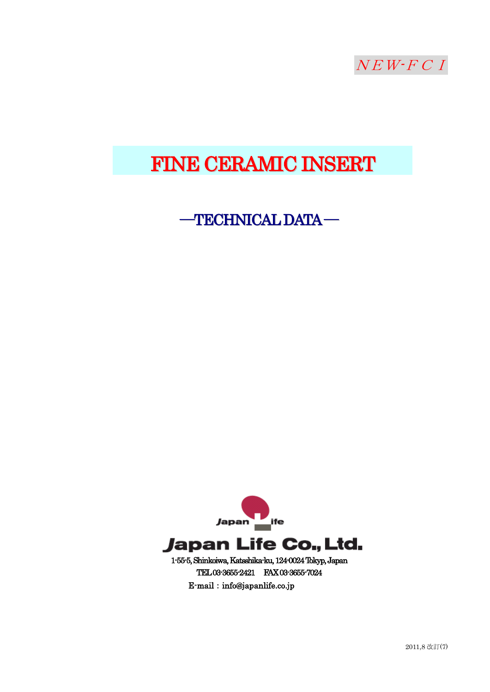

# FINE CERAMIC INSERT

## ―TECHNICALDATA―

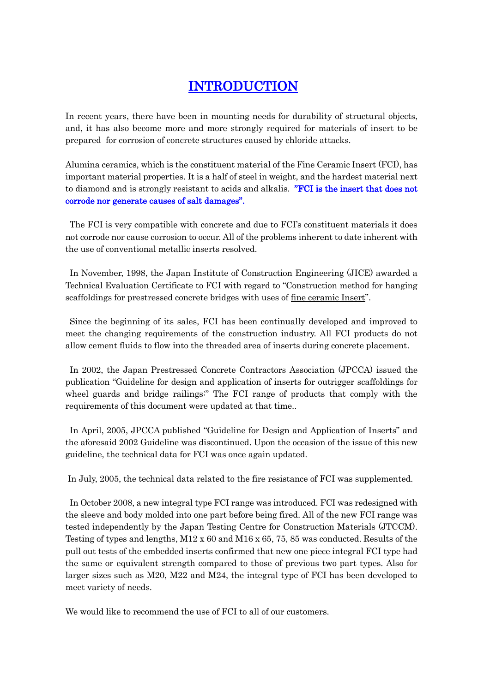## INTRODUCTION

In recent years, there have been in mounting needs for durability of structural objects, and, it has also become more and more strongly required for materials of insert to be prepared for corrosion of concrete structures caused by chloride attacks.

Alumina ceramics, which is the constituent material of the Fine Ceramic Insert (FCI), has important material properties. It is a half of steel in weight, and the hardest material next to diamond and is strongly resistant to acids and alkalis. "FCI is the insert that does not corrode nor generate causes of salt damages".

The FCI is very compatible with concrete and due to FCI's constituent materials it does not corrode nor cause corrosion to occur. All of the problems inherent to date inherent with the use of conventional metallic inserts resolved.

In November, 1998, the Japan Institute of Construction Engineering (JICE) awarded a Technical Evaluation Certificate to FCI with regard to "Construction method for hanging scaffoldings for prestressed concrete bridges with uses of fine ceramic Insert".

Since the beginning of its sales, FCI has been continually developed and improved to meet the changing requirements of the construction industry. All FCI products do not allow cement fluids to flow into the threaded area of inserts during concrete placement.

In 2002, the Japan Prestressed Concrete Contractors Association (JPCCA) issued the publication "Guideline for design and application of inserts for outrigger scaffoldings for wheel guards and bridge railings:" The FCI range of products that comply with the requirements of this document were updated at that time..

In April, 2005, JPCCA published "Guideline for Design and Application of Inserts" and the aforesaid 2002 Guideline was discontinued. Upon the occasion of the issue of this new guideline, the technical data for FCI was once again updated.

In July, 2005, the technical data related to the fire resistance of FCI was supplemented.

In October 2008, a new integral type FCI range was introduced. FCI was redesigned with the sleeve and body molded into one part before being fired. All of the new FCI range was tested independently by the Japan Testing Centre for Construction Materials (JTCCM). Testing of types and lengths,  $M12 \times 60$  and  $M16 \times 65$ , 75, 85 was conducted. Results of the pull out tests of the embedded inserts confirmed that new one piece integral FCI type had the same or equivalent strength compared to those of previous two part types. Also for larger sizes such as M20, M22 and M24, the integral type of FCI has been developed to meet variety of needs.

We would like to recommend the use of FCI to all of our customers.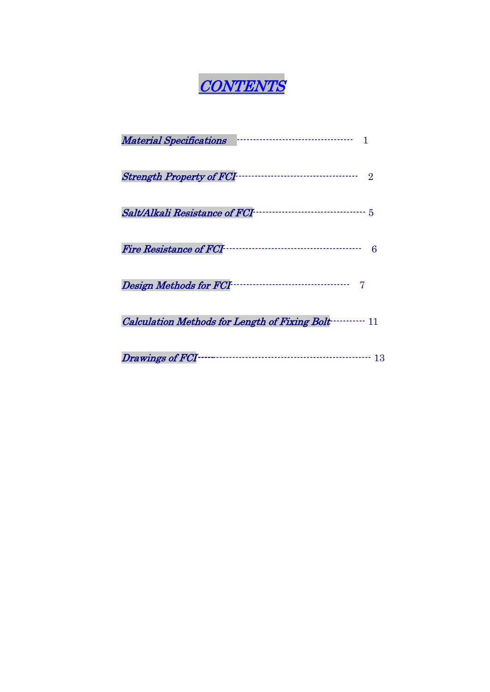

| <b>Material Specifications</b>                      |
|-----------------------------------------------------|
| $\Omega$                                            |
|                                                     |
| Fire Resistance of FCI<br>6                         |
| <br>Design Methods for FCI-                         |
| Calculation Methods for Length of Fixing Bolt……… 11 |
| Drawings of FCI<br>13                               |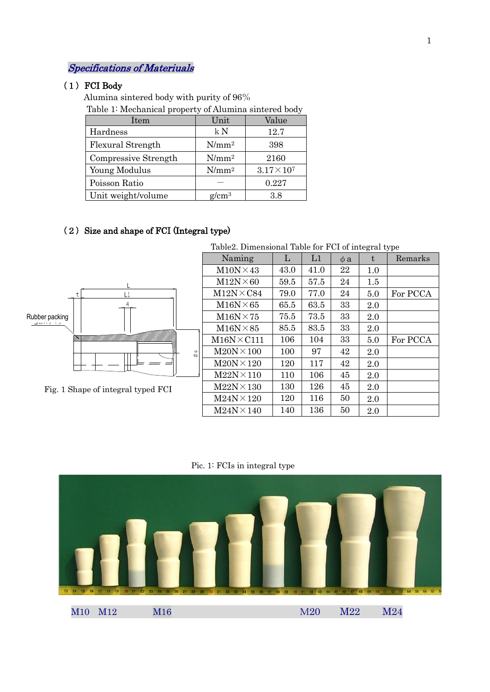## Specifications of Materiuals

#### (1) FCI Body

Alumina sintered body with purity of 96%

Table 1: Mechanical property of Alumina sintered body

| Item                 | Unit     | Value                |
|----------------------|----------|----------------------|
| Hardness             | kN       | 12.7                 |
| Flexural Strength    | $N/mm^2$ | 398                  |
| Compressive Strength | $N/mm^2$ | 2160                 |
| Young Modulus        | $N/mm^2$ | $3.17 \times 10^{7}$ |
| Poisson Ratio        |          | 0.227                |
| Unit weight/volume   | $g/cm^3$ | 3.8                  |

## (2) Size and shape of FCI (Integral type)



Fig. 1 Shape of integral typed FCI

| Table 2. Dimensional Table for FCI of integral type |      |      |          |         |          |  |  |  |  |
|-----------------------------------------------------|------|------|----------|---------|----------|--|--|--|--|
| Naming                                              | L    | L1   | $\phi$ a | t       | Remarks  |  |  |  |  |
| $M10N \times 43$                                    | 43.0 | 41.0 | 22       | 1.0     |          |  |  |  |  |
| $M12N \times 60$                                    | 59.5 | 57.5 | 24       | $1.5\,$ |          |  |  |  |  |
| $M12N\times C84$                                    | 79.0 | 77.0 | 24       | 5.0     | For PCCA |  |  |  |  |
| $M16N \times 65$                                    | 65.5 | 63.5 | 33       | 2.0     |          |  |  |  |  |
| $M16N \times 75$                                    | 75.5 | 73.5 | 33       | 2.0     |          |  |  |  |  |
| $M16N \times 85$                                    | 85.5 | 83.5 | 33       | 2.0     |          |  |  |  |  |
| $M16N \times C111$                                  | 106  | 104  | 33       | 5.0     | For PCCA |  |  |  |  |
| $M20N \times 100$                                   | 100  | 97   | 42       | 2.0     |          |  |  |  |  |
| $M20N \times 120$                                   | 120  | 117  | 42       | 2.0     |          |  |  |  |  |
| $M22N \times 110$                                   | 110  | 106  | 45       | 2.0     |          |  |  |  |  |
| $M22N \times 130$                                   | 130  | 126  | 45       | 2.0     |          |  |  |  |  |
| $M24N \times 120$                                   | 120  | 116  | 50       | 2.0     |          |  |  |  |  |
| $M24N \times 140$                                   | 140  | 136  | 50       | 2.0     |          |  |  |  |  |

Pic. 1: FCIs in integral type

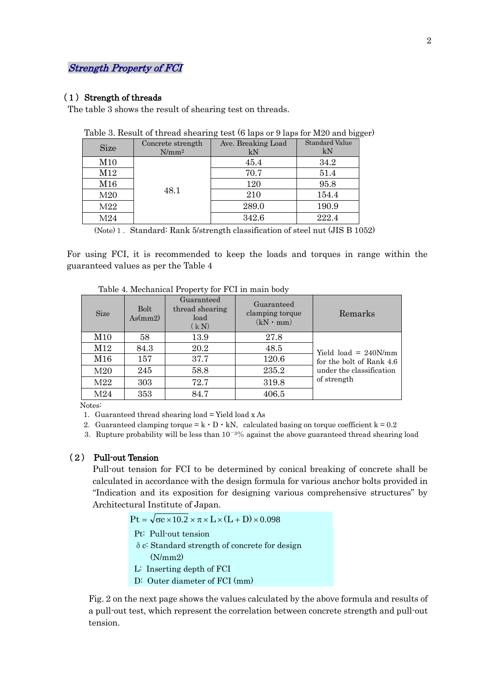### Strength Property of FCI

#### (1) Strength of threads

The table 3 shows the result of shearing test on threads.

| <b>Size</b> | Concrete strength<br>$N/mm^2$ | Ave. Breaking Load<br>kN | <b>Standard Value</b><br>kΝ |
|-------------|-------------------------------|--------------------------|-----------------------------|
| M10         |                               | 45.4                     | 34.2                        |
| M12         |                               | 70.7                     | 51.4                        |
| M16         | 48.1                          | 120                      | 95.8                        |
| M20         |                               | 210                      | 154.4                       |
| M22         |                               | 289.0                    | 190.9                       |
| M24         |                               | 342.6                    | 222.4                       |

| Table 3. Result of thread shearing test (6 laps or 9 laps for M20 and bigger) |  |  |  |  |  |  |  |  |
|-------------------------------------------------------------------------------|--|--|--|--|--|--|--|--|
|-------------------------------------------------------------------------------|--|--|--|--|--|--|--|--|

(Note) 1. Standard: Rank  $5$ /strength classification of steel nut (JIS B 1052)

For using FCI, it is recommended to keep the loads and torques in range within the guaranteed values as per the Table 4

| <b>Size</b>     | <b>Bolt</b><br>As(mm2) | Guaranteed<br>thread shearing<br>load<br>(kN) | Guaranteed<br>clamping torque<br>$(kN \cdot mm)$ | Remarks                  |
|-----------------|------------------------|-----------------------------------------------|--------------------------------------------------|--------------------------|
| M10             | 58                     | 13.9                                          | 27.8                                             |                          |
| M12             | 84.3                   | 20.2                                          | 48.5                                             | Yield load = $240N/mm$   |
| M16             | 157                    | 37.7                                          | 120.6                                            | for the bolt of Rank 4.6 |
| M <sub>20</sub> | 245                    | 58.8                                          | 235.2                                            | under the classification |
| M22             | 303                    | 72.7                                          | 319.8                                            | of strength              |
| M24             | 353                    | 84.7                                          | 406.5                                            |                          |

Table 4. Mechanical Property for FCI in main body

Notes:

1. Guaranteed thread shearing  $load = Yield$  load x As

- 2. Guaranteed clamping torque =  $k \cdot D \cdot kN$ , calculated basing on torque coefficient  $k = 0.2$
- 3. Rupture probability will be less than  $10^{-3}\%$  against the above guaranteed thread shearing load

#### (2) Pull-out Tension

Pull-out tension for FCI to be determined by conical breaking of concrete shall be calculated in accordance with the design formula for various anchor bolts provided in "Indication and its exposition for designing various comprehensive structures" by Architectural Institute of Japan.

 $Pt = \sqrt{\sigma}c \times 10.2 \times \pi \times L \times (L + D) \times 0.098$ 

Pt: Pull-out tension

- $\delta$  c: Standard strength of concrete for design
- $\overline{\phantom{a}}$  $(N/mm 2)$
- L: Inserting depth of FCI
- D: Outer diameter of FCI (mm)

Fig. 2 on the next page shows the values calculated by the above formula and results of a pull-out test, which represent the correlation between concrete strength and pull-out tension.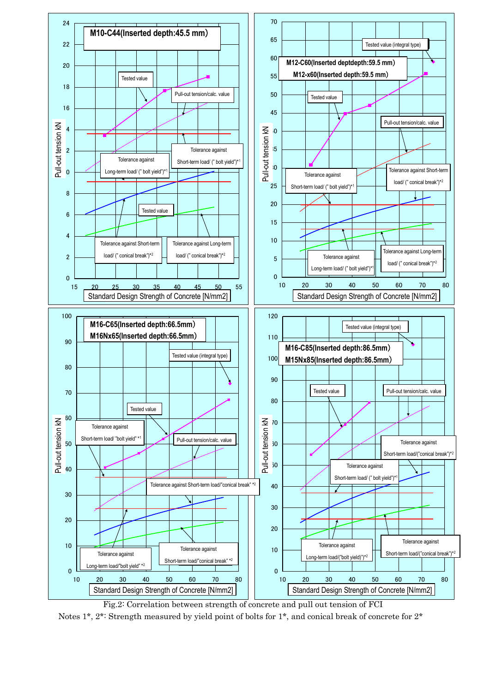

Fig.2: Correlation between strength of concrete and pull out tension of FCI Notes 1\*, 2\*: Strength measured by yield point of bolts for 1\*, and conical break of concrete for 2\*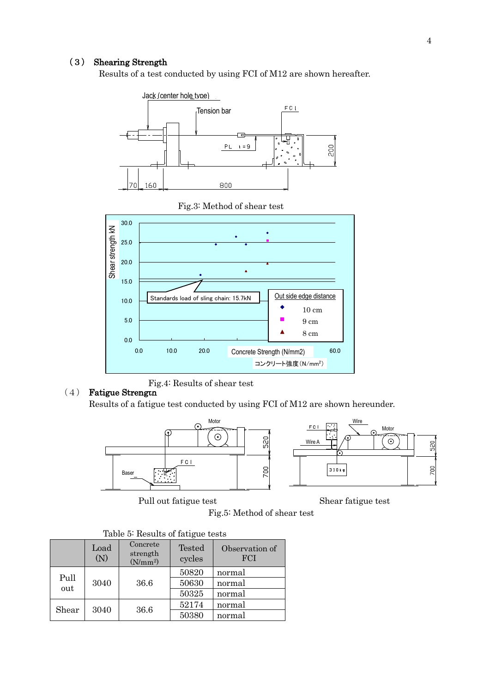#### (3) Shearing Strength

Results of a test conducted by using FCI of M12 are shown hereafter.



Fig.3: Method of shear test



Fig.4: Results of shear test

#### (4) Fatigue Strength

Results of a fatigue test conducted by using FCI of M12 are shown hereunder.



Pull out fatigue test Shear fatigue test



Fig.5: Method of shear test

|             |             | Table of Ilesures of Table at Rests          |                         |                              |
|-------------|-------------|----------------------------------------------|-------------------------|------------------------------|
|             | Load<br>(N) | Concrete<br>strength<br>(N/mm <sup>2</sup> ) | <b>Tested</b><br>cycles | Observation of<br><b>FCI</b> |
| Pull<br>out | 3040        | 36.6                                         | 50820<br>50630          | normal<br>normal             |
|             |             |                                              | 50325<br>52174          | normal<br>normal             |
| Shear       | 3040        | 36.6                                         | 50380                   | normal                       |

Table 5: Results of fatigue tests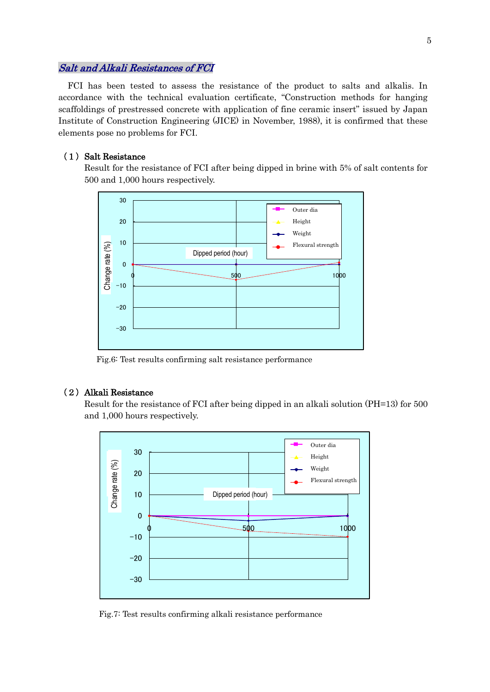#### Salt and Alkali Resistances of FCI

FCI has been tested to assess the resistance of the product to salts and alkalis. In accordance with the technical evaluation certificate, "Construction methods for hanging scaffoldings of prestressed concrete with application of fine ceramic insert" issued by Japan Institute of Construction Engineering (JICE) in November, 1988), it is confirmed that these elements pose no problems for FCI.

#### (1) Salt Resistance

Result for the resistance of FCI after being dipped in brine with 5% of salt contents for 500 and 1,000 hours respectively.



Fig.6: Test results confirming salt resistance performance

#### (2) Alkali Resistance

Result for the resistance of FCI after being dipped in an alkali solution (PH=13) for 500 and 1,000 hours respectively.



Fig.7: Test results confirming alkali resistance performance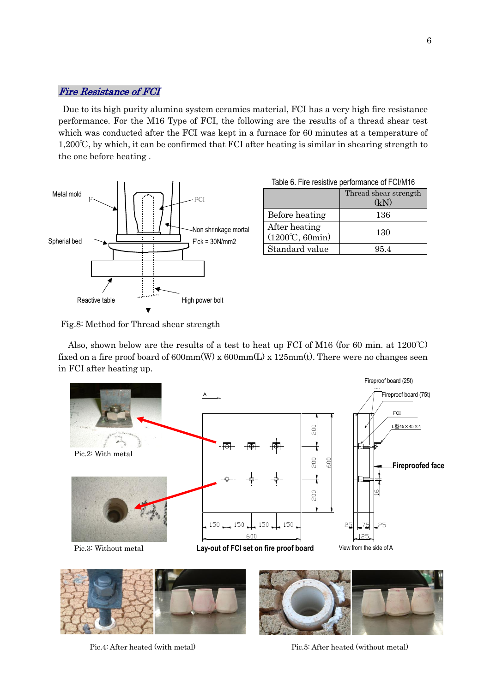### Fire Resistance of FCI

Due to its high purity alumina system ceramics material, FCI has a very high fire resistance performance. For the M16 Type of FCI, the following are the results of a thread shear test which was conducted after the FCI was kept in a furnace for 60 minutes at a temperature of 1,200℃, by which, it can be confirmed that FCI after heating is similar in shearing strength to the one before heating .



| Table 6. Fire resistive performance of FCI/M16 |  |  |  |  |
|------------------------------------------------|--|--|--|--|
|------------------------------------------------|--|--|--|--|

|                                                         | Thread shear strength<br>(kN) |
|---------------------------------------------------------|-------------------------------|
| Before heating                                          | 136                           |
| After heating<br>$(1200^{\circ}\text{C}, 60\text{min})$ | 130                           |
| Standard value                                          | 95.4                          |

Fig.8: Method for Thread shear strength

Also, shown below are the results of a test to heat up FCI of M16 (for 60 min. at  $1200^{\circ}$ C) fixed on a fire proof board of  $600mm(W)$  x  $600mm(L)$  x  $125mm(t)$ . There were no changes seen in FCI after heating up.







Pic.4: After heated (with metal) Pic.5: After heated (without metal)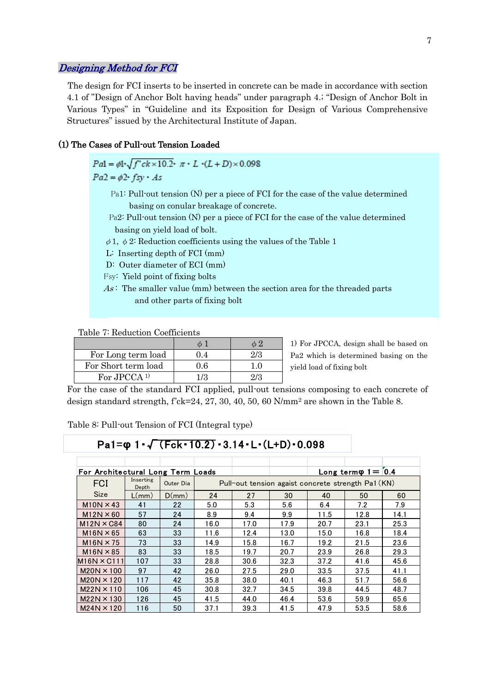#### Designing Method for FCI

The design for FCI inserts to be inserted in concrete can be made in accordance with section 4.1 of "Design of Anchor Bolt having heads" under paragraph 4.; "Design of Anchor Bolt in Various Types" in "Guideline and its Exposition for Design of Various Comprehensive Structures" issued by the Architectural Institute of Japan.

#### (1) The Cases of Pull-out Tension Loaded

 $Pal = \phi \mathbf{i} \cdot \sqrt{f' ck \times 10.2} \cdot \pi \cdot L \cdot (L+D) \times 0.098$  $Pa2 = \phi 2 \cdot f s y \cdot As$ 

- Pa1: Pull-out tension (N) per a piece of FCI for the case of the value determined basing on conular breakage of concrete.
- Pa2: Pull-out tension (N) per a piece of FCI for the case of the value determined basing on yield load of bolt.
- $\phi$ 1,  $\phi$ 2: Reduction coefficients using the values of the Table 1
- L: Inserting depth of FCI (mm)
- D: Outer diameter of ECI (mm)
- Fsy: Yield point of fixing bolts
- $As$ : The smaller value (mm) between the section area for the threaded parts and other parts of fixing bolt

Table 7: Reduction Coefficients

| For Long term load      |       |  |
|-------------------------|-------|--|
| For Short term load     | ገ 6   |  |
| For JPCCA <sup>1)</sup> | 1 / 3 |  |

1) For JPCCA, design shall be based on Pa2 which is determined basing on the yield load of fixing bolt

For the case of the standard FCI applied, pull-out tensions composing to each concrete of design standard strength, f'ck=24, 27, 30, 40, 50, 60 N/mm<sup>2</sup> are shown in the Table 8.

Table 8: Pull-out Tension of FCI (Integral type)

## Pa1=**φ** 1・√(Fck・10.2)・3.14・L・(L+D)・0.098

|                                   |                    |           |      |      | Pa1= $\varphi$ 1 · $\sqrt{(Fck \cdot 10.2)} \cdot 3.14 \cdot L \cdot (L+D) \cdot 0.098$ |                                                    |                               |      |
|-----------------------------------|--------------------|-----------|------|------|-----------------------------------------------------------------------------------------|----------------------------------------------------|-------------------------------|------|
|                                   |                    |           |      |      |                                                                                         |                                                    |                               |      |
|                                   |                    |           |      |      |                                                                                         |                                                    |                               |      |
| For Architectural Long Term Loads |                    |           |      |      |                                                                                         |                                                    | $Long term \varphi_1 = [0.4]$ |      |
| <b>FCI</b>                        | Inserting<br>Depth | Outer Dia |      |      |                                                                                         | Pull-out tension agaist concrete strength Pa1 (KN) |                               |      |
| <b>Size</b>                       | L/mm)              | D(mm)     | 24   | 27   | 30                                                                                      | 40                                                 | 50                            | 60   |
| $M10N \times 43$                  | 41                 | 22        | 5.0  | 5.3  | 5.6                                                                                     | 6.4                                                | 7.2                           | 7.9  |
| $M12N \times 60$                  | 57                 | 24        | 8.9  | 9.4  | 9.9                                                                                     | 11.5                                               | 12.8                          | 14.1 |
| $M12N \times C84$                 | 80                 | 24        | 16.0 | 17.0 | 17.9                                                                                    | 20.7                                               | 23.1                          | 25.3 |
| $M16N \times 65$                  | 63                 | 33        | 11.6 | 12.4 | 13.0                                                                                    | 15.0                                               | 16.8                          | 18.4 |
| $M16N \times 75$                  | 73                 | 33        | 14.9 | 15.8 | 16.7                                                                                    | 19.2                                               | 21.5                          | 23.6 |
| $M16N \times 85$                  | 83                 | 33        | 18.5 | 19.7 | 20.7                                                                                    | 23.9                                               | 26.8                          | 29.3 |
| $M16N \times C111$                | 107                | 33        | 28.8 | 30.6 | 32.3                                                                                    | 37.2                                               | 41.6                          | 45.6 |
| $M20N \times 100$                 | 97                 | 42        | 26.0 | 27.5 | 29.0                                                                                    | 33.5                                               | 37.5                          | 41.1 |
| $M20N \times 120$                 | 117                | 42        | 35.8 | 38.0 | 40.1                                                                                    | 46.3                                               | 51.7                          | 56.6 |
| $M22N \times 110$                 | 106                | 45        | 30.8 | 32.7 | 34.5                                                                                    | 39.8                                               | 44.5                          | 48.7 |
| $M22N \times 130$                 | 126                | 45        | 41.5 | 44.0 | 46.4                                                                                    | 53.6                                               | 59.9                          | 65.6 |
| $M24N \times 120$                 | 116                | 50        | 37.1 | 39.3 | 41.5                                                                                    | 47.9                                               | 53.5                          | 58.6 |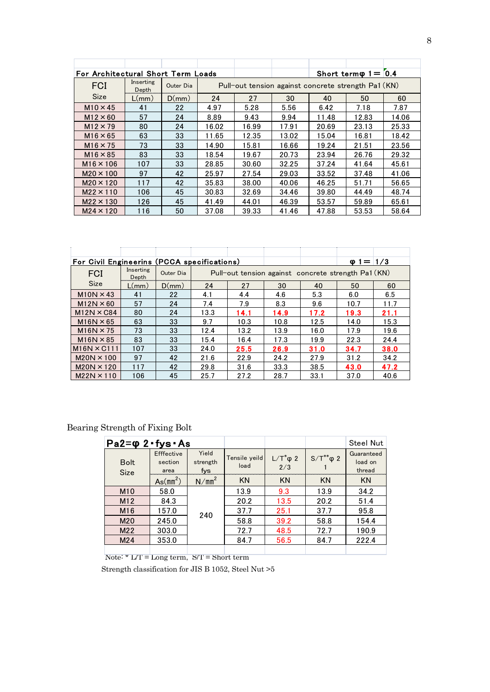| For Architectural Short Term Loads |                    |           |       |                                                     |       |       | Short term $\varphi$ 1 = $[0.4]$ |       |
|------------------------------------|--------------------|-----------|-------|-----------------------------------------------------|-------|-------|----------------------------------|-------|
| <b>FCI</b>                         | Inserting<br>Depth | Outer Dia |       | Pull-out tension against concrete strength Pa1 (KN) |       |       |                                  |       |
| <b>Size</b>                        | L/mm)              | D(mm)     | 24    | 27                                                  | 30    | 40    | 50                               | 60    |
| $M10 \times 45$                    | 41                 | 22        | 4.97  | 5.28                                                | 5.56  | 6.42  | 7.18                             | 7.87  |
| $M12 \times 60$                    | 57                 | 24        | 8.89  | 9.43                                                | 9.94  | 11.48 | 12.83                            | 14.06 |
| $M12 \times 79$                    | 80                 | 24        | 16.02 | 16.99                                               | 17.91 | 20.69 | 23.13                            | 25.33 |
| $M16 \times 65$                    | 63                 | 33        | 11.65 | 12.35                                               | 13.02 | 15.04 | 16.81                            | 18.42 |
| $M16 \times 75$                    | 73                 | 33        | 14.90 | 15.81                                               | 16.66 | 19.24 | 21.51                            | 23.56 |
| $M16 \times 85$                    | 83                 | 33        | 18.54 | 19.67                                               | 20.73 | 23.94 | 26.76                            | 29.32 |
| $M16 \times 106$                   | 107                | 33        | 28.85 | 30.60                                               | 32.25 | 37.24 | 41.64                            | 45.61 |
| $M20 \times 100$                   | 97                 | 42        | 25.97 | 27.54                                               | 29.03 | 33.52 | 37.48                            | 41.06 |
| $M20 \times 120$                   | 117                | 42        | 35.83 | 38.00                                               | 40.06 | 46.25 | 51.71                            | 56.65 |
| $M22 \times 110$                   | 106                | 45        | 30.83 | 32.69                                               | 34.46 | 39.80 | 44.49                            | 48.74 |
| $M22 \times 130$                   | 126                | 45        | 41.49 | 44.01                                               | 46.39 | 53.57 | 59.89                            | 65.61 |
| $M24 \times 120$                   | 116                | 50        | 37.08 | 39.33                                               | 41.46 | 47.88 | 53.53                            | 58.64 |

| For Civil Engineerins (PCCA specifications) |                    |           |      |                                                     |      |      | $\omega$ 1 = 1/3 |      |
|---------------------------------------------|--------------------|-----------|------|-----------------------------------------------------|------|------|------------------|------|
| <b>FCI</b>                                  | Inserting<br>Depth | Outer Dia |      | Pull-out tension against concrete strength Pa1 (KN) |      |      |                  |      |
| <b>Size</b>                                 | $L/mm$ )           | D(mm)     | 24   | 27                                                  | 30   | 40   | 50               | 60   |
| $M10N \times 43$                            | 41                 | 22        | 4.1  | 4.4                                                 | 4.6  | 5.3  | 6.0              | 6.5  |
| $M12N \times 60$                            | 57                 | 24        | 7.4  | 7.9                                                 | 8.3  | 9.6  | 10.7             | 11.7 |
| $M12N \times C84$                           | 80                 | 24        | 13.3 | 14.1                                                | 14.9 | 17.2 | 19.3             | 21.1 |
| $M16N \times 65$                            | 63                 | 33        | 9.7  | 10.3                                                | 10.8 | 12.5 | 14.0             | 15.3 |
| $M16N \times 75$                            | 73                 | 33        | 12.4 | 13.2                                                | 13.9 | 16.0 | 17.9             | 19.6 |
| $M16N \times 85$                            | 83                 | 33        | 15.4 | 16.4                                                | 17.3 | 19.9 | 22.3             | 24.4 |
| $M16N \times C111$                          | 107                | 33        | 24.0 | 25.5                                                | 26.9 | 31.0 | 34.7             | 38.0 |
| $M20N \times 100$                           | 97                 | 42        | 21.6 | 22.9                                                | 24.2 | 27.9 | 31.2             | 34.2 |
| $M20N \times 120$                           | 117                | 42        | 29.8 | 31.6                                                | 33.3 | 38.5 | 43.0             | 47.2 |
| $M22N \times 110$                           | 106                | 45        | 25.7 | 27.2                                                | 28.7 | 33.1 | 37.0             | 40.6 |

## Bearing Strength of Fixing Bolt

| $Pa2 = \phi 2 \cdot fys \cdot As$      |                               |                          |                       |                         |                     | <b>Steel Nut</b>                |
|----------------------------------------|-------------------------------|--------------------------|-----------------------|-------------------------|---------------------|---------------------------------|
| <b>Bolt</b><br>Size                    | Efffective<br>section<br>area | Yield<br>strength<br>fys | Tensile yeild<br>load | $L/T^*\varphi 2$<br>2/3 | $S/T^{**}\varphi 2$ | Guaranteed<br>load on<br>thread |
|                                        | As(mm <sup>2</sup> )          | N/mm <sup>2</sup>        | <b>KN</b>             | <b>KN</b>               | <b>KN</b>           | <b>KN</b>                       |
| M <sub>10</sub>                        | 58.0                          |                          | 13.9                  | 9.3                     | 13.9                | 34.2                            |
| M12                                    | 84.3                          |                          | 20.2                  | 13.5                    | 20.2                | 51.4                            |
| M <sub>16</sub>                        | 157.0                         | 240                      | 37.7                  | 25.1                    | 37.7                | 95.8                            |
| M20                                    | 245.0                         |                          | 58.8                  | 39.2                    | 58.8                | 154.4                           |
| M22                                    | 303.0                         |                          | 72.7                  | 48.5                    | 72.7                | 190.9                           |
| M24                                    | 353.0                         |                          | 84.7                  | 56.5                    | 84.7                | 222.4                           |
| the state of the state of the state of |                               | $-1.1.1.1.1$<br>2.7.1    |                       |                         |                     |                                 |

Note: \*  $L/T = Long term$ , S/T = Short term

Strength classification for JIS B 1052, Steel Nut >5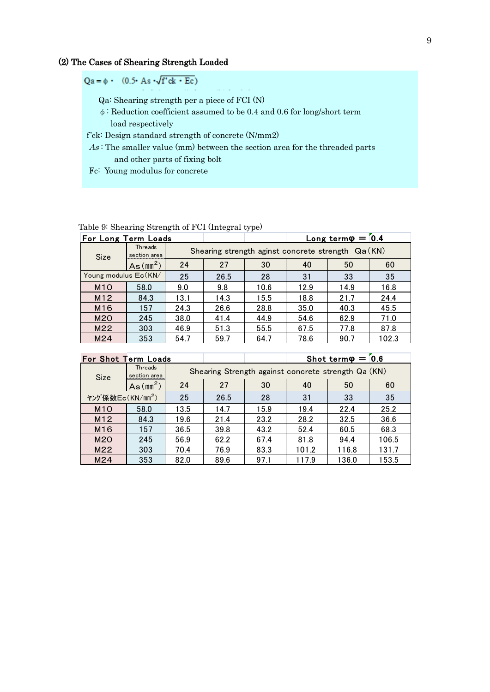## (2) The Cases of Shearing Strength Loaded

$$
Qa = \phi \cdot (0.5 \cdot As \cdot \sqrt{f'}ck \cdot Ec)
$$

Qa: Shearing strength per a piece of FCI (N)

φ: Reduction coefficient assumed to be 0.4 and 0.6 for long/short term load respectively

f'ck: Design standard strength of concrete (N/mm2)

 $As$ : The smaller value (mm) between the section area for the threaded parts and other parts of fixing bolt

Fc: Young modulus for concrete

Table 9: Shearing Strength of FCI (Integral type)

| Table 9: Shearing Strength of FCI (Integral type)    |                         |      |                                                    |      |      |      |       |  |  |  |
|------------------------------------------------------|-------------------------|------|----------------------------------------------------|------|------|------|-------|--|--|--|
| $Long term \varphi = 0.4$<br>For Long Term Loads     |                         |      |                                                    |      |      |      |       |  |  |  |
| <b>Size</b>                                          | Threads<br>section area |      | Shearing strength aginst concrete strength Qa (KN) |      |      |      |       |  |  |  |
|                                                      | As(mm <sup>2</sup> )    | 24   | 27                                                 | 30   | 40   | 50   | 60    |  |  |  |
| Young modulus Ec(KN/<br>25<br>26.5<br>28<br>31<br>33 |                         |      |                                                    |      | 35   |      |       |  |  |  |
| M <sub>1</sub> O                                     | 58.0                    | 9.0  | 9.8                                                | 10.6 | 12.9 | 14.9 | 16.8  |  |  |  |
| M12                                                  | 84.3                    | 13.1 | 14.3                                               | 15.5 | 18.8 | 21.7 | 24.4  |  |  |  |
| M <sub>16</sub>                                      | 157                     | 24.3 | 26.6                                               | 28.8 | 35.0 | 40.3 | 45.5  |  |  |  |
| M <sub>20</sub>                                      | 245                     | 38.0 | 41.4                                               | 44.9 | 54.6 | 62.9 | 71.0  |  |  |  |
| M22                                                  | 303                     | 46.9 | 51.3                                               | 55.5 | 67.5 | 77.8 | 87.8  |  |  |  |
| M24                                                  | 353                     | 54.7 | 59.7                                               | 64.7 | 78.6 | 90.7 | 102.3 |  |  |  |

|                                                              | Shot term $\varphi = 0.6$<br><b>For Shot Term Loads</b> |      |                                                     |      |       |       |       |  |  |  |
|--------------------------------------------------------------|---------------------------------------------------------|------|-----------------------------------------------------|------|-------|-------|-------|--|--|--|
| Size                                                         | <b>Threads</b><br>section area                          |      | Shearing Strength against concrete strength Qa (KN) |      |       |       |       |  |  |  |
|                                                              | As(mm <sup>2</sup> )                                    | 24   | 27                                                  | 30   | 40    | 50    | 60    |  |  |  |
| ヤング係数Ec(KN/mm <sup>2</sup> )<br>25<br>31<br>33<br>28<br>26.5 |                                                         |      |                                                     | 35   |       |       |       |  |  |  |
| M <sub>10</sub>                                              | 58.0                                                    | 13.5 | 14.7                                                | 5.9  | 19.4  | 22.4  | 25.2  |  |  |  |
| M12                                                          | 84.3                                                    | 19.6 | 21.4                                                | 23.2 | 28.2  | 32.5  | 36.6  |  |  |  |
| M <sub>16</sub>                                              | 157                                                     | 36.5 | 39.8                                                | 43.2 | 52.4  | 60.5  | 68.3  |  |  |  |
| M <sub>20</sub>                                              | 245                                                     | 56.9 | 62.2                                                | 67.4 | 81.8  | 94.4  | 106.5 |  |  |  |
| M22                                                          | 303                                                     | 70.4 | 76.9                                                | 83.3 | 101.2 | 116.8 | 131.7 |  |  |  |
| M24                                                          | 353                                                     | 82.0 | 89.6                                                | 97.1 | 117.9 | 136.0 | 153.5 |  |  |  |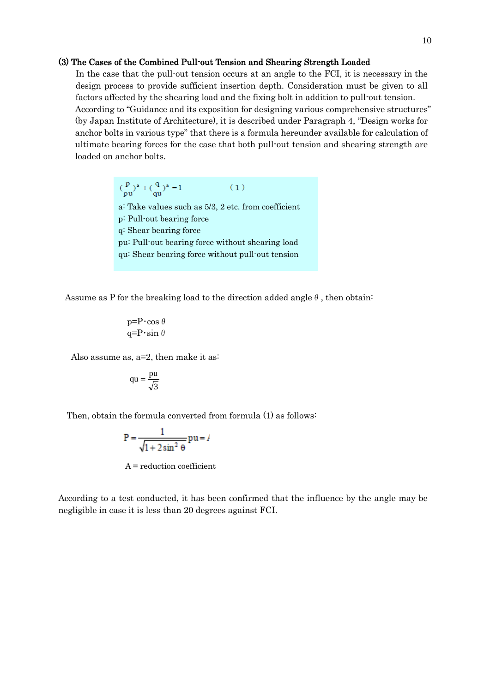#### (3) The Cases of the Combined Pull-out Tension and Shearing Strength Loaded

In the case that the pull-out tension occurs at an angle to the FCI, it is necessary in the design process to provide sufficient insertion depth. Consideration must be given to all factors affected by the shearing load and the fixing bolt in addition to pull-out tension. According to "Guidance and its exposition for designing various comprehensive structures" (by Japan Institute of Architecture), it is described under Paragraph 4, "Design works for anchor bolts in various type" that there is a formula hereunder available for calculation of ultimate bearing forces for the case that both pull-out tension and shearing strength are loaded on anchor bolts.

> $\left(\frac{p}{p u}\right)^a + \left(\frac{q}{q u}\right)^a = 1$  $(1)$ a: Take values such as 5/3, 2 etc. from coefficient p: Pull-out bearing force q: Shear bearing force pu: Pull-out bearing force without shearing load qu: Shear bearing force without pull-out tension

Assume as P for the breaking load to the direction added angle  $\theta$ , then obtain:

$$
\begin{array}{c}\n \text{p=}\text{P}\cdot \cos \theta \\
\text{q=}\text{P}\cdot \sin \theta\n \end{array}
$$

Also assume as,  $a=2$ , then make it as:

$$
qu = \frac{pu}{\sqrt{3}}
$$

Then, obtain the formula converted from formula (1) as follows:

$$
P = \frac{1}{\sqrt{1 + 2\sin^2\theta}} pu = l
$$

A = reduction coefficient

According to a test conducted, it has been confirmed that the influence by the angle may be negligible in case it is less than 20 degrees against FCI.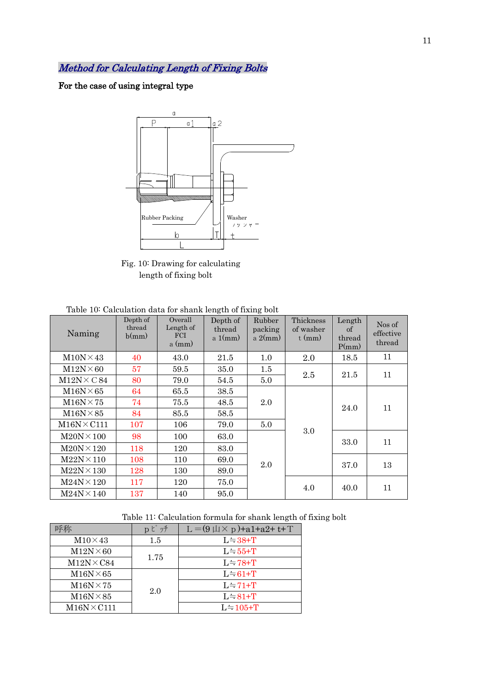Method for Calculating Length of Fixing Bolts

For the case of using integral type



Fig. 10: Drawing for calculating length of fixing bolt

| Naming             | Depth of<br>thread<br>b(mm) | Overall<br>Length of<br>FCI<br>$a$ (mm) | Depth of<br>thread<br>a $1(mm)$ | Rubber<br>packing<br>a $2(mm)$ | Thickness<br>of washer<br>$t$ (mm) | Length<br>of<br>thread<br>P(mm) | Nos of<br>effective<br>thread |
|--------------------|-----------------------------|-----------------------------------------|---------------------------------|--------------------------------|------------------------------------|---------------------------------|-------------------------------|
| $M10N \times 43$   | 40                          | 43.0                                    | 21.5                            | 1.0                            | 2.0                                | 18.5                            | 11                            |
| $M12N \times 60$   | 57                          | 59.5                                    | 35.0                            | 1.5                            | 2.5                                |                                 | 11                            |
| $M12N \times C84$  | 80                          | 79.0                                    | 54.5                            | 5.0                            |                                    | 21.5                            |                               |
| $M16N \times 65$   | 64                          | 65.5                                    | 38.5                            |                                |                                    | 24.0                            | 11                            |
| $M16N \times 75$   | 74                          | 75.5                                    | 48.5                            | 2.0                            |                                    |                                 |                               |
| $M16N \times 85$   | 84                          | 85.5                                    | 58.5                            |                                |                                    |                                 |                               |
| $M16N \times C111$ | 107                         | 106                                     | 79.0                            | 5.0                            |                                    |                                 |                               |
| $M20N \times 100$  | 98                          | 100                                     | 63.0                            |                                | 3.0                                | 33.0                            | 11                            |
| $M20N \times 120$  | 118                         | 120                                     | 83.0                            |                                |                                    |                                 |                               |
| $M22N \times 110$  | 108                         | 110                                     | 69.0                            | 2.0                            |                                    | 37.0                            | 13                            |
| $M22N \times 130$  | 128                         | 130                                     | 89.0                            |                                |                                    |                                 |                               |
| $M24N \times 120$  | 117                         | 120                                     | 75.0                            |                                | 4.0                                | 40.0                            | 11                            |
| $M24N \times 140$  | 137                         | 140                                     | 95.0                            |                                |                                    |                                 |                               |

Table 11: Calculation formula for shank length of fixing bolt

|                    | p とッチ   | $L = (9 \mu \times p) + a1 + a2 + t + T$ |  |  |
|--------------------|---------|------------------------------------------|--|--|
| $M10\times 43$     | $1.5\,$ | $L = 38 + T$                             |  |  |
| $M12N \times 60$   |         | $L = 55 + T$                             |  |  |
| $M12N\times C84$   | 1.75    | $L = 78 + T$                             |  |  |
| $M16N \times 65$   |         | $L = 61 + T$                             |  |  |
| $M16N \times 75$   |         | $L = 71 + T$                             |  |  |
| $M16N \times 85$   | 2.0     | $L = 81 + T$                             |  |  |
| $M16N \times C111$ |         | $L = 105+T$                              |  |  |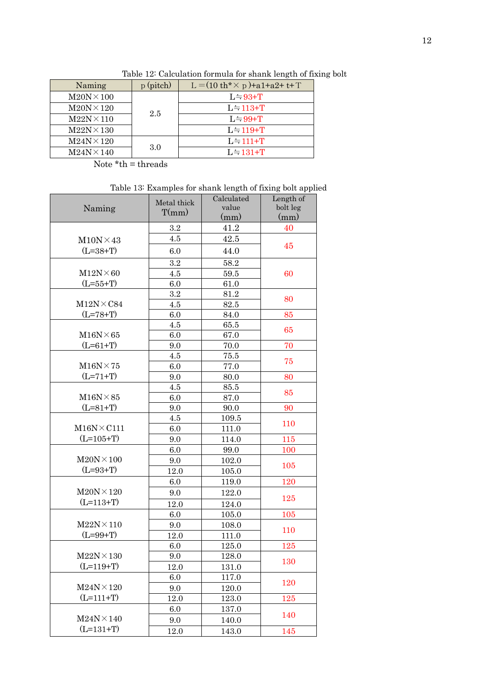| Naming            | $p$ (pitch) | L = $(10 \text{ th}^* \times \text{ p}) + a1 + a2 + t + T$ |
|-------------------|-------------|------------------------------------------------------------|
| $M20N \times 100$ |             | $L = 93+T$                                                 |
| $M20N \times 120$ | 2.5         | $L = 113+T$                                                |
| $M22N \times 110$ |             | $L = 99+T$                                                 |
| $M22N \times 130$ |             | $L = 119 + T$                                              |
| $M24N \times 120$ |             | $L = 111 + T$                                              |
| $M24N \times 140$ | 3.0         | $L = 131 + T$                                              |

Table 12: Calculation formula for shank length of fixing bolt

Note  $*$ th = threads

Table 13: Examples for shank length of fixing bolt applied

|                                  | Metal thick | Calculated | Length of |
|----------------------------------|-------------|------------|-----------|
| Naming                           | T(mm)       | value      | bolt leg  |
|                                  |             | (mm)       | (mm)      |
|                                  | $3.2\,$     | 41.2       | 40        |
| $M10N \times 43$                 | 4.5         | 42.5       | 45        |
| $(L=38+T)$                       | 6.0         | 44.0       |           |
|                                  | 3.2         | 58.2       |           |
| $M12N \times 60$                 | 4.5         | 59.5       | 60        |
| $(L=55+T)$                       | 6.0         | 61.0       |           |
|                                  | 3.2         | 81.2       | 80        |
| $M12N\times C84$                 | 4.5         | 82.5       |           |
| $(L=78+T)$                       | 6.0         | 84.0       | 85        |
|                                  | 4.5         | 65.5       | 65        |
| $M16N \times 65$                 | 6.0         | 67.0       |           |
| $(L=61+T)$                       | 9.0         | 70.0       | 70        |
|                                  | 4.5         | 75.5       | 75        |
| $\text{M}16\text{N}\!\times\!75$ | 6.0         | 77.0       |           |
| $(L=71+T)$                       | 9.0         | 80.0       | 80        |
|                                  | 4.5         | 85.5       |           |
| $M16N \times 85$                 | 6.0         | 87.0       | 85        |
| $(L=81+T)$                       | 9.0         | 90.0       | 90        |
|                                  | 4.5         | 109.5      |           |
| $M16N \times C111$               | 6.0         | 111.0      | 110       |
| $(L=105+T)$                      | 9.0         | 114.0      | 115       |
|                                  | 6.0         | 99.0       | 100       |
| $M20N \times 100$                | 9.0         | 102.0      |           |
| $(L=93+T)$                       | 12.0        | 105.0      | 105       |
|                                  | 6.0         | 119.0      | 120       |
| $M20N \times 120$                | 9.0         | 122.0      |           |
| $(L=113+T)$                      | 12.0        | 124.0      | 125       |
|                                  | 6.0         | 105.0      | 105       |
| $M22N \times 110$                | 9.0         | 108.0      |           |
| $(L=99+T)$                       | 12.0        | 111.0      | 110       |
|                                  | 6.0         | 125.0      | 125       |
| $M22N \times 130$                | 9.0         | 128.0      |           |
| $(L=119+T)$                      | 12.0        | 131.0      | 130       |
|                                  | 6.0         | 117.0      |           |
| $M24N \times 120$                | 9.0         | 120.0      | 120       |
| $(L=111+T)$                      | 12.0        | 123.0      | 125       |
|                                  | 6.0         | $137.0\,$  |           |
| $M24N \times 140$                | 9.0         | 140.0      | 140       |
| $(L=131+T)$                      | 12.0        | 143.0      | 145       |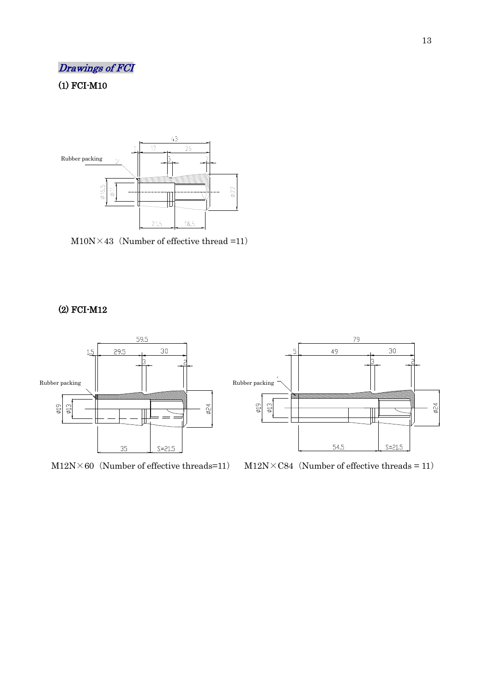## Drawings of FCI

## (1) FCI-M10



 $M10N \times 43$  (Number of effective thread =11)

## (2) FCI-M12



 $M12N\times60$  (Number of effective threads=11)

 $M12N\times C84$  (Number of effective threads = 11)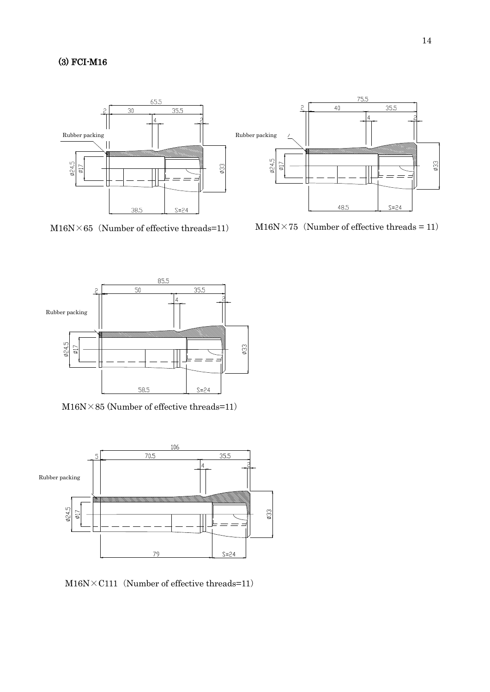## (3) FCI-M16





M16N $\times$ 65 (Number of effective threads=11) M16N $\times$ 75 (Number of effective threads = 11)



 $\text{M}16\text{N}\times85$  (Number of effective threads=11)



 $M16N \times C111$  (Number of effective threads=11)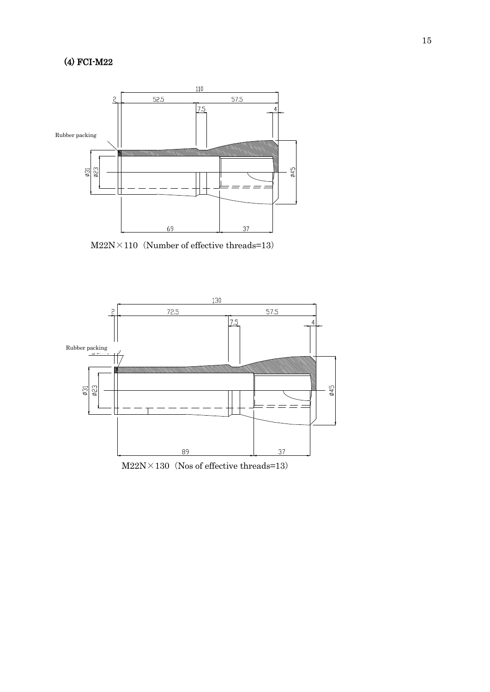

 $M22N \times 110$  (Number of effective threads=13)